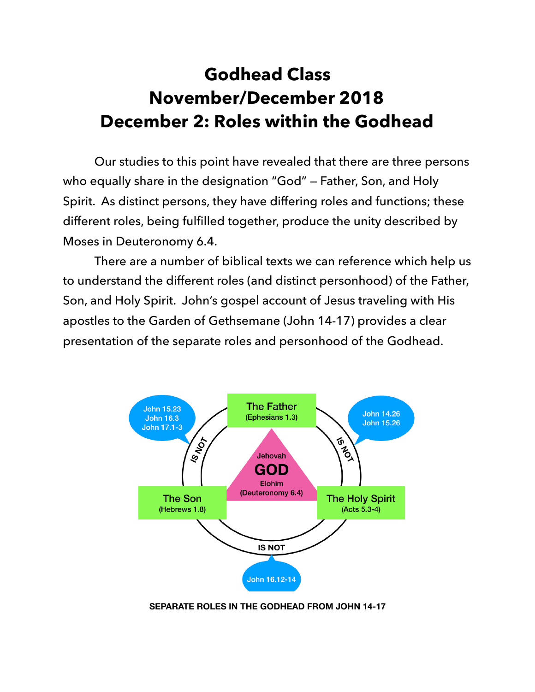## **Godhead Class November/December 2018 December 2: Roles within the Godhead**

 Our studies to this point have revealed that there are three persons who equally share in the designation "God" — Father, Son, and Holy Spirit. As distinct persons, they have differing roles and functions; these different roles, being fulfilled together, produce the unity described by Moses in Deuteronomy 6.4.

 There are a number of biblical texts we can reference which help us to understand the different roles (and distinct personhood) of the Father, Son, and Holy Spirit. John's gospel account of Jesus traveling with His apostles to the Garden of Gethsemane (John 14-17) provides a clear presentation of the separate roles and personhood of the Godhead.



**SEPARATE ROLES IN THE GODHEAD FROM JOHN 14-17**